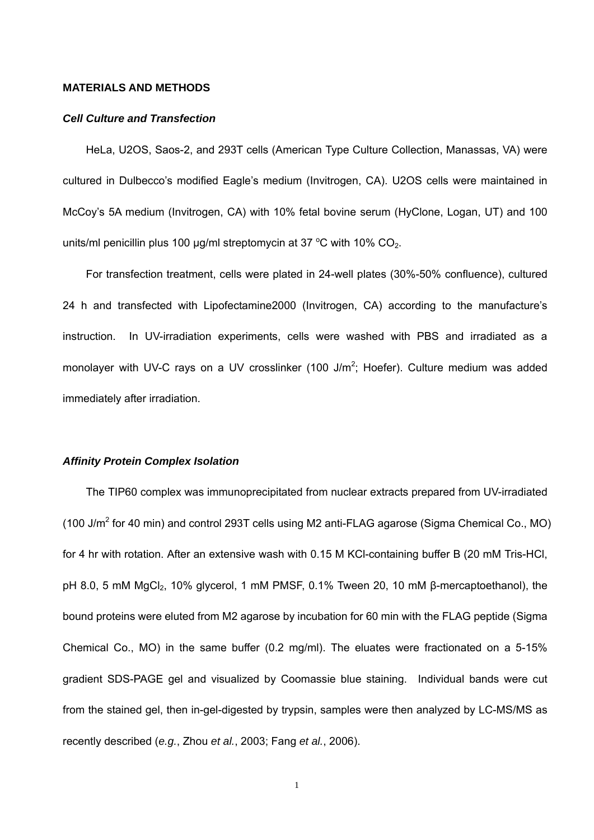#### **MATERIALS AND METHODS**

#### *Cell Culture and Transfection*

HeLa, U2OS, Saos-2, and 293T cells (American Type Culture Collection, Manassas, VA) were cultured in Dulbecco's modified Eagle's medium (Invitrogen, CA). U2OS cells were maintained in McCoy's 5A medium (Invitrogen, CA) with 10% fetal bovine serum (HyClone, Logan, UT) and 100 units/ml penicillin plus 100  $\mu$ g/ml streptomycin at 37 °C with 10% CO<sub>2</sub>.

For transfection treatment, cells were plated in 24-well plates (30%-50% confluence), cultured 24 h and transfected with Lipofectamine2000 (Invitrogen, CA) according to the manufacture's instruction. In UV-irradiation experiments, cells were washed with PBS and irradiated as a monolayer with UV-C rays on a UV crosslinker (100 J/ $m^2$ ; Hoefer). Culture medium was added immediately after irradiation.

#### *Affinity Protein Complex Isolation*

The TIP60 complex was immunoprecipitated from nuclear extracts prepared from UV-irradiated (100 J/m<sup>2</sup> for 40 min) and control 293T cells using M2 anti-FLAG agarose (Sigma Chemical Co., MO) for 4 hr with rotation. After an extensive wash with 0.15 M KCl-containing buffer B (20 mM Tris-HCl, pH 8.0, 5 mM MgCl<sub>2</sub>, 10% glycerol, 1 mM PMSF, 0.1% Tween 20, 10 mM β-mercaptoethanol), the bound proteins were eluted from M2 agarose by incubation for 60 min with the FLAG peptide (Sigma Chemical Co., MO) in the same buffer (0.2 mg/ml). The eluates were fractionated on a 5-15% gradient SDS-PAGE gel and visualized by Coomassie blue staining. Individual bands were cut from the stained gel, then in-gel-digested by trypsin, samples were then analyzed by LC-MS/MS as recently described (*e.g.*, Zhou *et al.*, 2003; Fang *et al.*, 2006).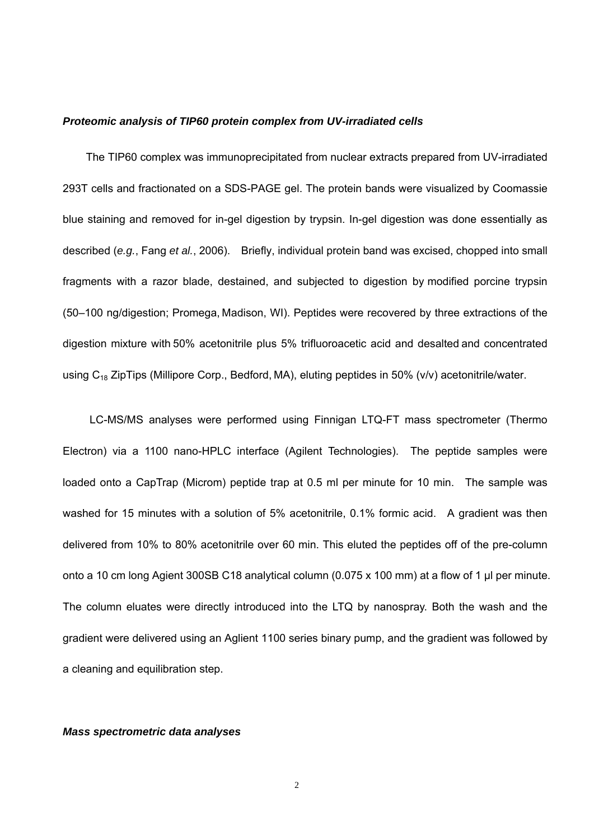#### *Proteomic analysis of TIP60 protein complex from UV-irradiated cells*

The TIP60 complex was immunoprecipitated from nuclear extracts prepared from UV-irradiated 293T cells and fractionated on a SDS-PAGE gel. The protein bands were visualized by Coomassie blue staining and removed for in-gel digestion by trypsin. In-gel digestion was done essentially as described (*e.g.*, Fang *et al.*, 2006). Briefly, individual protein band was excised, chopped into small fragments with a razor blade, destained, and subjected to digestion by modified porcine trypsin (50–100 ng/digestion; Promega, Madison, WI). Peptides were recovered by three extractions of the digestion mixture with 50% acetonitrile plus 5% trifluoroacetic acid and desalted and concentrated using  $C_{18}$  ZipTips (Millipore Corp., Bedford, MA), eluting peptides in 50% (v/v) acetonitrile/water.

LC-MS/MS analyses were performed using Finnigan LTQ-FT mass spectrometer (Thermo Electron) via a 1100 nano-HPLC interface (Agilent Technologies). The peptide samples were loaded onto a CapTrap (Microm) peptide trap at 0.5 ml per minute for 10 min. The sample was washed for 15 minutes with a solution of 5% acetonitrile, 0.1% formic acid. A gradient was then delivered from 10% to 80% acetonitrile over 60 min. This eluted the peptides off of the pre-column onto a 10 cm long Agient 300SB C18 analytical column (0.075 x 100 mm) at a flow of 1 µl per minute. The column eluates were directly introduced into the LTQ by nanospray. Both the wash and the gradient were delivered using an Aglient 1100 series binary pump, and the gradient was followed by a cleaning and equilibration step.

#### *Mass spectrometric data analyses*

2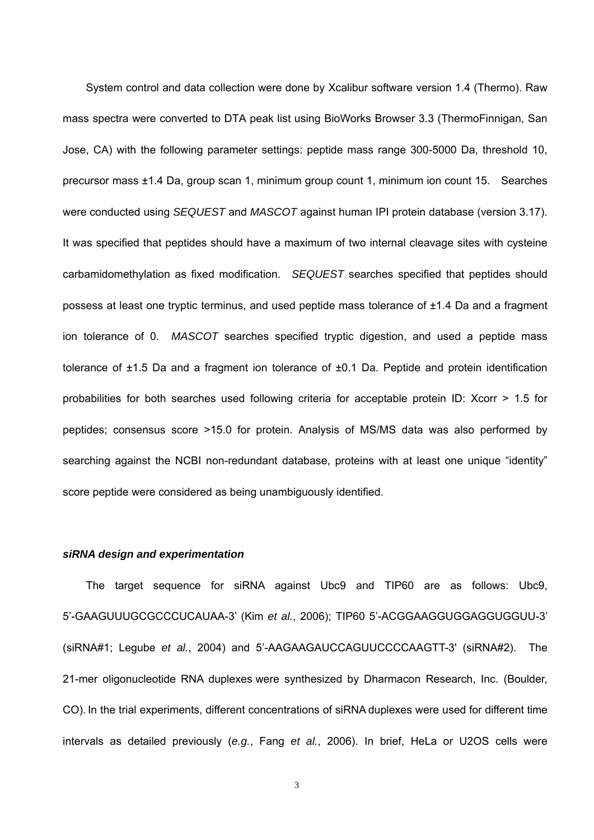System control and data collection were done by Xcalibur software version 1.4 (Thermo). Raw mass spectra were converted to DTA peak list using BioWorks Browser 3.3 (ThermoFinnigan, San Jose, CA) with the following parameter settings: peptide mass range 300-5000 Da, threshold 10, precursor mass ±1.4 Da, group scan 1, minimum group count 1, minimum ion count 15. Searches were conducted using *SEQUEST* and *MASCOT* against human IPI protein database (version 3.17). It was specified that peptides should have a maximum of two internal cleavage sites with cysteine carbamidomethylation as fixed modification. *SEQUEST* searches specified that peptides should possess at least one tryptic terminus, and used peptide mass tolerance of ±1.4 Da and a fragment ion tolerance of 0. *MASCOT* searches specified tryptic digestion, and used a peptide mass tolerance of  $\pm 1.5$  Da and a fragment ion tolerance of  $\pm 0.1$  Da. Peptide and protein identification probabilities for both searches used following criteria for acceptable protein ID: Xcorr > 1.5 for peptides; consensus score >15.0 for protein. Analysis of MS/MS data was also performed by searching against the NCBI non-redundant database, proteins with at least one unique "identity" score peptide were considered as being unambiguously identified.

#### *siRNA design and experimentation*

The target sequence for siRNA against Ubc9 and TIP60 are as follows: Ubc9, 5'-GAAGUUUGCGCCCUCAUAA-3' (Kim *et al.*, 2006); TIP60 5'-ACGGAAGGUGGAGGUGGUU-3' (siRNA#1; Legube *et al.*, 2004) and 5'-AAGAAGAUCCAGUUCCCCAAGTT-3' (siRNA#2). The 21-mer oligonucleotide RNA duplexes were synthesized by Dharmacon Research, Inc. (Boulder, CO). In the trial experiments, different concentrations of siRNA duplexes were used for different time intervals as detailed previously (*e.g.*, Fang *et al.*, 2006). In brief, HeLa or U2OS cells were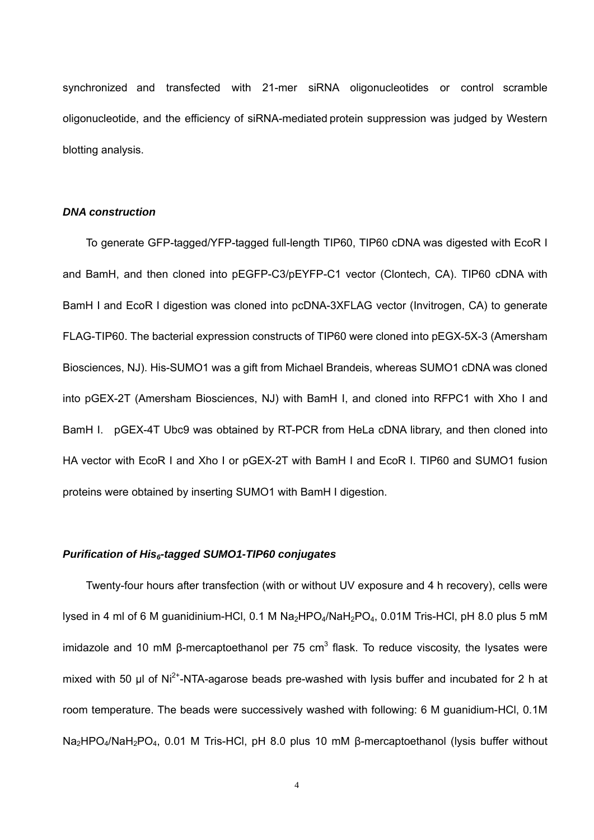synchronized and transfected with 21-mer siRNA oligonucleotides or control scramble oligonucleotide, and the efficiency of siRNA-mediated protein suppression was judged by Western blotting analysis.

#### *DNA construction*

To generate GFP-tagged/YFP-tagged full-length TIP60, TIP60 cDNA was digested with EcoR I and BamH, and then cloned into pEGFP-C3/pEYFP-C1 vector (Clontech, CA). TIP60 cDNA with BamH I and EcoR I digestion was cloned into pcDNA-3XFLAG vector (Invitrogen, CA) to generate FLAG-TIP60. The bacterial expression constructs of TIP60 were cloned into pEGX-5X-3 (Amersham Biosciences, NJ). His-SUMO1 was a gift from Michael Brandeis, whereas SUMO1 cDNA was cloned into pGEX-2T (Amersham Biosciences, NJ) with BamH I, and cloned into RFPC1 with Xho I and BamH I. pGEX-4T Ubc9 was obtained by RT-PCR from HeLa cDNA library, and then cloned into HA vector with EcoR I and Xho I or pGEX-2T with BamH I and EcoR I. TIP60 and SUMO1 fusion proteins were obtained by inserting SUMO1 with BamH I digestion.

#### *Purification of His6-tagged SUMO1-TIP60 conjugates*

Twenty-four hours after transfection (with or without UV exposure and 4 h recovery), cells were lysed in 4 ml of 6 M guanidinium-HCl, 0.1 M Na<sub>2</sub>HPO<sub>4</sub>/NaH<sub>2</sub>PO<sub>4</sub>, 0.01M Tris-HCl, pH 8.0 plus 5 mM imidazole and 10 mM β-mercaptoethanol per 75 cm<sup>3</sup> flask. To reduce viscosity, the lysates were mixed with 50 μl of Ni<sup>2+</sup>-NTA-agarose beads pre-washed with lysis buffer and incubated for 2 h at room temperature. The beads were successively washed with following: 6 M guanidium-HCl, 0.1M Na<sub>2</sub>HPO<sub>4</sub>/NaH<sub>2</sub>PO<sub>4</sub>, 0.01 M Tris-HCl, pH 8.0 plus 10 mM β-mercaptoethanol (lysis buffer without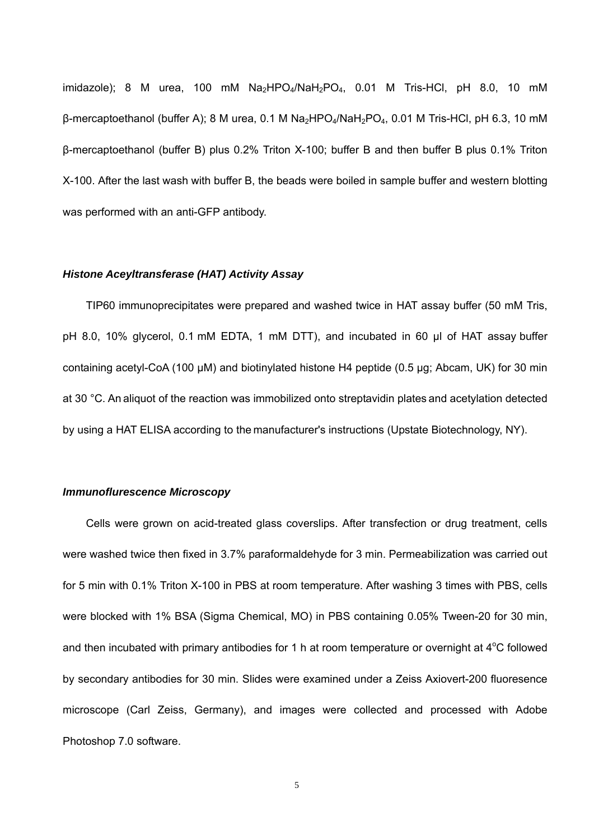imidazole); 8 M urea, 100 mM  $Na<sub>2</sub>HPO<sub>4</sub>/NaH<sub>2</sub>PO<sub>4</sub>$ , 0.01 M Tris-HCl, pH 8.0, 10 mM β-mercaptoethanol (buffer A); 8 M urea, 0.1 M Na<sub>2</sub>HPO<sub>4</sub>/NaH<sub>2</sub>PO<sub>4</sub>, 0.01 M Tris-HCl, pH 6.3, 10 mM β-mercaptoethanol (buffer B) plus 0.2% Triton X-100; buffer B and then buffer B plus 0.1% Triton X-100. After the last wash with buffer B, the beads were boiled in sample buffer and western blotting was performed with an anti-GFP antibody.

#### *Histone Aceyltransferase (HAT) Activity Assay*

TIP60 immunoprecipitates were prepared and washed twice in HAT assay buffer (50 mM Tris, pH 8.0, 10% glycerol, 0.1 mM EDTA, 1 mM DTT), and incubated in 60 µl of HAT assay buffer containing acetyl-CoA (100 µM) and biotinylated histone H4 peptide (0.5 µg; Abcam, UK) for 30 min at 30 °C. An aliquot of the reaction was immobilized onto streptavidin plates and acetylation detected by using a HAT ELISA according to the manufacturer's instructions (Upstate Biotechnology, NY).

### *Immunoflurescence Microscopy*

Cells were grown on acid-treated glass coverslips. After transfection or drug treatment, cells were washed twice then fixed in 3.7% paraformaldehyde for 3 min. Permeabilization was carried out for 5 min with 0.1% Triton X-100 in PBS at room temperature. After washing 3 times with PBS, cells were blocked with 1% BSA (Sigma Chemical, MO) in PBS containing 0.05% Tween-20 for 30 min, and then incubated with primary antibodies for 1 h at room temperature or overnight at  $4^{\circ}$ C followed by secondary antibodies for 30 min. Slides were examined under a Zeiss Axiovert-200 fluoresence microscope (Carl Zeiss, Germany), and images were collected and processed with Adobe Photoshop 7.0 software.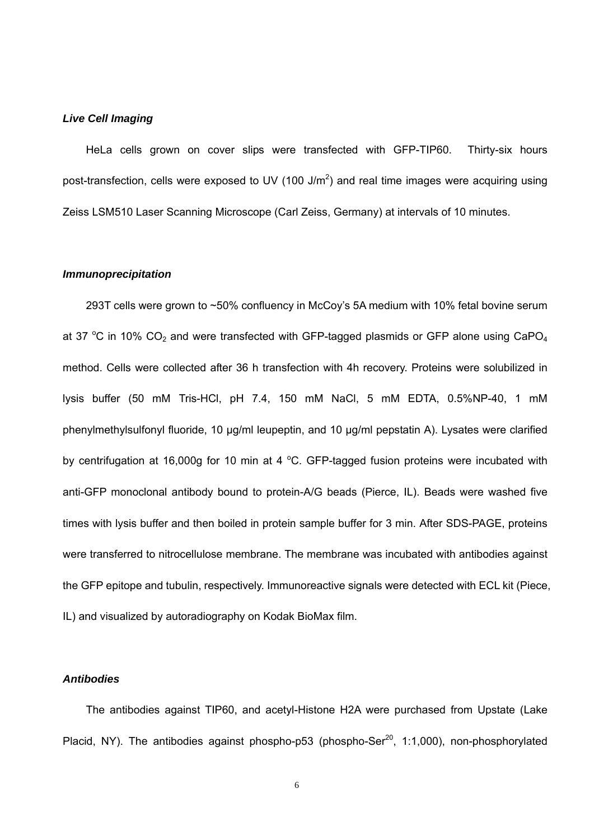### *Live Cell Imaging*

HeLa cells grown on cover slips were transfected with GFP-TIP60. Thirty-six hours post-transfection, cells were exposed to UV (100 J/m<sup>2</sup>) and real time images were acquiring using Zeiss LSM510 Laser Scanning Microscope (Carl Zeiss, Germany) at intervals of 10 minutes.

#### *Immunoprecipitation*

293T cells were grown to ~50% confluency in McCoy's 5A medium with 10% fetal bovine serum at 37 °C in 10%  $CO<sub>2</sub>$  and were transfected with GFP-tagged plasmids or GFP alone using CaPO<sub>4</sub> method. Cells were collected after 36 h transfection with 4h recovery. Proteins were solubilized in lysis buffer (50 mM Tris-HCl, pH 7.4, 150 mM NaCl, 5 mM EDTA, 0.5%NP-40, 1 mM phenylmethylsulfonyl fluoride, 10 μg/ml leupeptin, and 10 μg/ml pepstatin A). Lysates were clarified by centrifugation at 16,000g for 10 min at 4  $^{\circ}$ C. GFP-tagged fusion proteins were incubated with anti-GFP monoclonal antibody bound to protein-A/G beads (Pierce, IL). Beads were washed five times with lysis buffer and then boiled in protein sample buffer for 3 min. After SDS-PAGE, proteins were transferred to nitrocellulose membrane. The membrane was incubated with antibodies against the GFP epitope and tubulin, respectively. Immunoreactive signals were detected with ECL kit (Piece, IL) and visualized by autoradiography on Kodak BioMax film.

## *Antibodies*

The antibodies against TIP60, and acetyl-Histone H2A were purchased from Upstate (Lake Placid, NY). The antibodies against phospho-p53 (phospho-Ser<sup>20</sup>, 1:1,000), non-phosphorylated

 $\sim$  6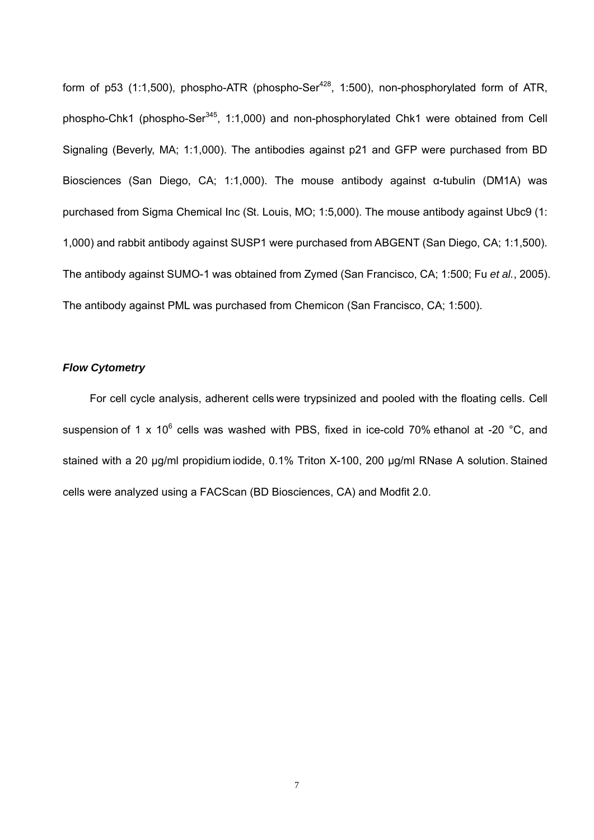form of p53 (1:1,500), phospho-ATR (phospho-Ser<sup>428</sup>, 1:500), non-phosphorylated form of ATR, phospho-Chk1 (phospho-Ser<sup>345</sup>, 1:1,000) and non-phosphorylated Chk1 were obtained from Cell Signaling (Beverly, MA; 1:1,000). The antibodies against p21 and GFP were purchased from BD Biosciences (San Diego, CA; 1:1,000). The mouse antibody against α-tubulin (DM1A) was purchased from Sigma Chemical Inc (St. Louis, MO; 1:5,000). The mouse antibody against Ubc9 (1: 1,000) and rabbit antibody against SUSP1 were purchased from ABGENT (San Diego, CA; 1:1,500). The antibody against SUMO-1 was obtained from Zymed (San Francisco, CA; 1:500; Fu *et al.*, 2005). The antibody against PML was purchased from Chemicon (San Francisco, CA; 1:500).

## *Flow Cytometry*

For cell cycle analysis, adherent cells were trypsinized and pooled with the floating cells. Cell suspension of 1 x 10<sup>6</sup> cells was washed with PBS, fixed in ice-cold 70% ethanol at -20 °C, and stained with a 20 µg/ml propidium iodide, 0.1% Triton X-100, 200 µg/ml RNase A solution. Stained cells were analyzed using a FACScan (BD Biosciences, CA) and Modfit 2.0.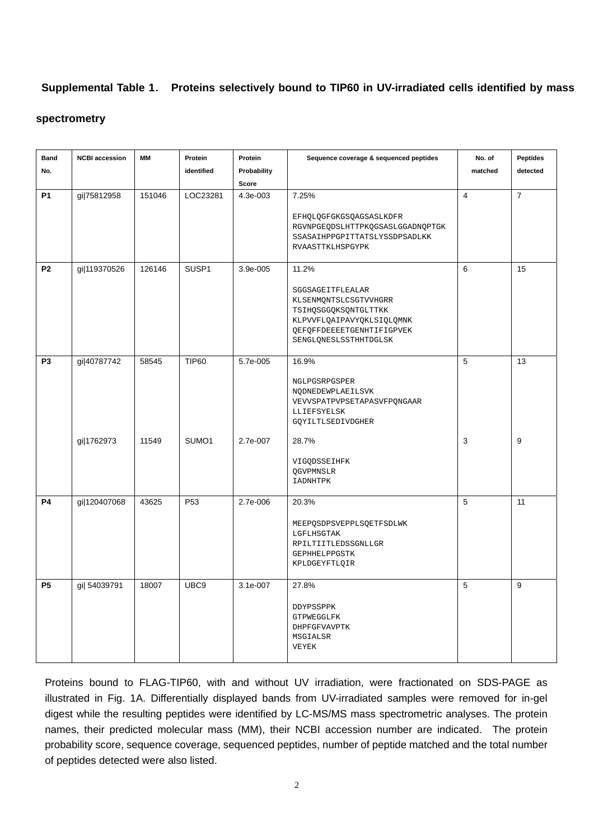# **Supplemental Table 1**. **Proteins selectively bound to TIP60 in UV-irradiated cells identified by mass**

#### **spectrometry**

| <b>Band</b>    | <b>NCBI accession</b>     | <b>MM</b>      | Protein               | Protein              | Sequence coverage & sequenced peptides                                                                                                                               | No. of         | <b>Peptides</b> |
|----------------|---------------------------|----------------|-----------------------|----------------------|----------------------------------------------------------------------------------------------------------------------------------------------------------------------|----------------|-----------------|
| No.            |                           |                | identified            | Probability          |                                                                                                                                                                      | matched        | detected        |
|                |                           |                |                       | Score                |                                                                                                                                                                      |                |                 |
| <b>P1</b>      | gi 75812958               | 151046         | LOC23281              | 4.3e-003             | 7.25%<br>EFHQLQGFGKGSQAGSASLKDFR<br>RGVNPGEQDSLHTTPKQGSASLGGADNQPTGK<br>SSASAIHPPGPITTATSLYSSDPSADLKK<br>RVAASTTKLHSPGYPK                                            | $\overline{4}$ | $\overline{7}$  |
| P <sub>2</sub> | gi 119370526              | 126146         | SUSP1                 | 3.9e-005             | 11.2%<br>SGGSAGEITFLEALAR<br>KLSENMQNTSLCSGTVVHGRR<br>TSIHQSGGQKSQNTGLTTKK<br>KLPVVFLQAIPAVYQKLSIQLQMNK<br><b>QEFQFFDEEEETGENHTIFIGPVEK</b><br>SENGLQNESLSSTHHTDGLSK | 6              | 15              |
| P <sub>3</sub> | gi 40787742<br>gi 1762973 | 58545<br>11549 | <b>TIP60</b><br>SUMO1 | 5.7e-005<br>2.7e-007 | 16.9%<br>NGLPGSRPGSPER<br>NQDNEDEWPLAEILSVK<br>VEVVSPATPVPSETAPASVFPQNGAAR<br>LLIEFSYELSK<br>GQYILTLSEDIVDGHER<br>28.7%<br>VIGQDSSEIHFK                              | 5<br>3         | 13<br>9         |
|                |                           |                |                       |                      | QGVPMNSLR<br>IADNHTPK                                                                                                                                                |                |                 |
| <b>P4</b>      | gi 120407068              | 43625          | P <sub>53</sub>       | 2.7e-006             | 20.3%<br>MEEPQSDPSVEPPLSQETFSDLWK<br>LGFLHSGTAK<br>RPILTIITLEDSSGNLLGR<br>GEPHHELPPGSTK<br>KPLDGEYFTLQIR                                                             | 5              | 11              |
| <b>P5</b>      | gi  54039791              | 18007          | UBC9                  | 3.1e-007             | 27.8%<br>DDYPSSPPK<br>GTPWEGGLFK<br>DHPFGFVAVPTK<br>MSGIALSR<br>VEYEK                                                                                                | 5              | 9               |

Proteins bound to FLAG-TIP60, with and without UV irradiation, were fractionated on SDS-PAGE as illustrated in Fig. 1A. Differentially displayed bands from UV-irradiated samples were removed for in-gel digest while the resulting peptides were identified by LC-MS/MS mass spectrometric analyses. The protein names, their predicted molecular mass (MM), their NCBI accession number are indicated. The protein probability score, sequence coverage, sequenced peptides, number of peptide matched and the total number of peptides detected were also listed.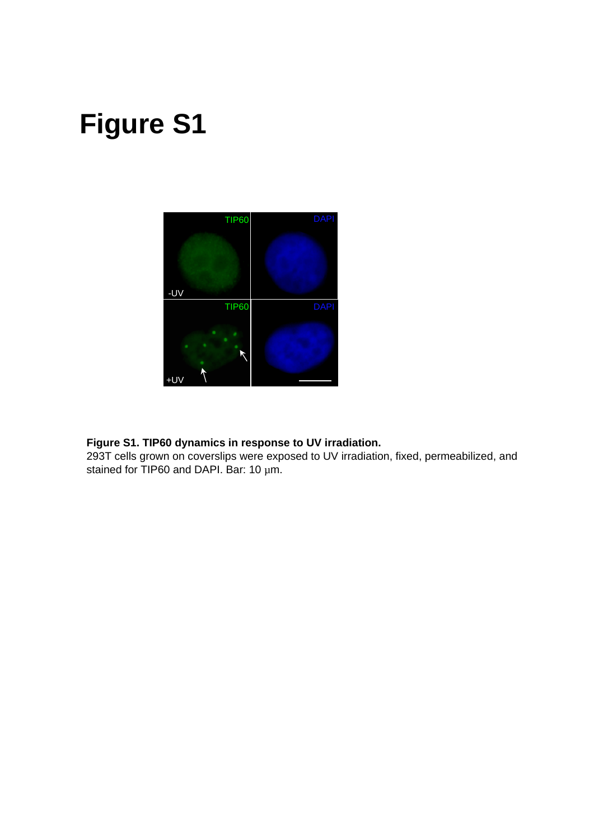# **Figure S1**



# **Figure S1. TIP60 dynamics in response to UV irradiation.**

293T cells grown on coverslips were exposed to UV irradiation, fixed, permeabilized, and stained for TIP60 and DAPI. Bar: 10  $\mu$ m.